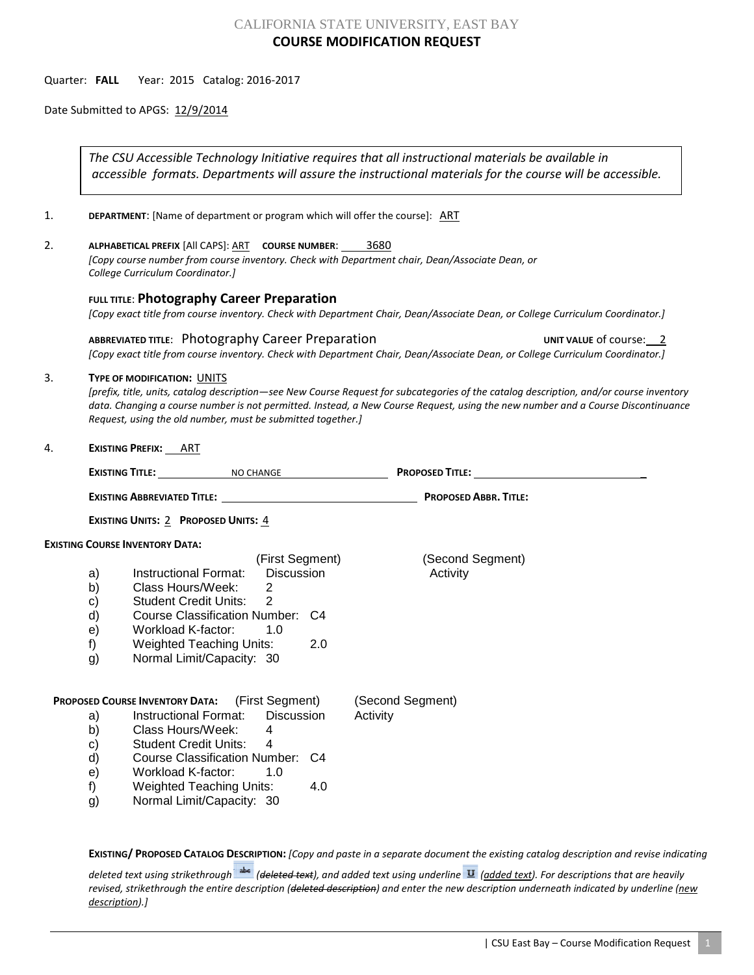# CALIFORNIA STATE UNIVERSITY, EAST BAY **COURSE MODIFICATION REQUEST**

Quarter: **FALL** Year: 2015 Catalog: 2016-2017

Date Submitted to APGS: 12/9/2014

*The CSU Accessible Technology Initiative requires that all instructional materials be available in accessible formats. Departments will assure the instructional materials for the course will be accessible.*

1. **DEPARTMENT:** [Name of department or program which will offer the course]: **ART** 

2. **ALPHABETICAL PREFIX** [All CAPS]: ART **COURSE NUMBER**: 3680 *[Copy course number from course inventory. Check with Department chair, Dean/Associate Dean, or College Curriculum Coordinator.]* 

**FULL TITLE**: **Photography Career Preparation**

*[Copy exact title from course inventory. Check with Department Chair, Dean/Associate Dean, or College Curriculum Coordinator.]*

ABBREVIATED TITLE: Photography Career Preparation **ABBREVIATED TITES** UNIT VALUE of course: 2 *[Copy exact title from course inventory. Check with Department Chair, Dean/Associate Dean, or College Curriculum Coordinator.]*

## 3. **TYPE OF MODIFICATION:** UNITS

*[prefix, title, units, catalog description—see New Course Request for subcategories of the catalog description, and/or course inventory data. Changing a course number is not permitted. Instead, a New Course Request, using the new number and a Course Discontinuance Request, using the old number, must be submitted together.]*

4. **EXISTING PREFIX:** ART

|                                            |                                        | EXISTING TITLE: NO CHANGE                                                                                                                                                                                                                                                                               |                                     | PROPOSED TITLE: New York Contract the Contract of the Contract of Title: |
|--------------------------------------------|----------------------------------------|---------------------------------------------------------------------------------------------------------------------------------------------------------------------------------------------------------------------------------------------------------------------------------------------------------|-------------------------------------|--------------------------------------------------------------------------|
|                                            |                                        |                                                                                                                                                                                                                                                                                                         |                                     | <b>PROPOSED ABBR. TITLE:</b>                                             |
| <b>EXISTING UNITS: 2 PROPOSED UNITS: 4</b> |                                        |                                                                                                                                                                                                                                                                                                         |                                     |                                                                          |
| <b>EXISTING COURSE INVENTORY DATA:</b>     |                                        |                                                                                                                                                                                                                                                                                                         |                                     |                                                                          |
|                                            | a)<br>b)<br>C)<br>d)<br>e)<br>f)<br>g) | (First Segment)<br>Discussion<br>Instructional Format:<br>Class Hours/Week:<br>2<br>Student Credit Units: 2<br>Course Classification Number: C4<br>Workload K-factor:<br>1.0<br>Weighted Teaching Units:<br>Normal Limit/Capacity: 30                                                                   | 2.0                                 | (Second Segment)<br>Activity                                             |
|                                            | a)<br>b)<br>C)<br>d)<br>e)<br>f)<br>g) | <b>PROPOSED COURSE INVENTORY DATA:</b> (First Segment)<br>Instructional Format: Discussion<br>Class Hours/Week:<br>4<br><b>Student Credit Units:</b><br>$\boldsymbol{\varDelta}$<br>Course Classification Number: C4<br>Workload K-factor: 1.0<br>Weighted Teaching Units:<br>Normal Limit/Capacity: 30 | (Second Segment)<br>Activity<br>4.0 |                                                                          |

**EXISTING/ PROPOSED CATALOG DESCRIPTION:** *[Copy and paste in a separate document the existing catalog description and revise indicating* 

*deleted text using strikethrough (deleted text), and added text using underline (added text). For descriptions that are heavily revised, strikethrough the entire description (deleted description) and enter the new description underneath indicated by underline (new description).]*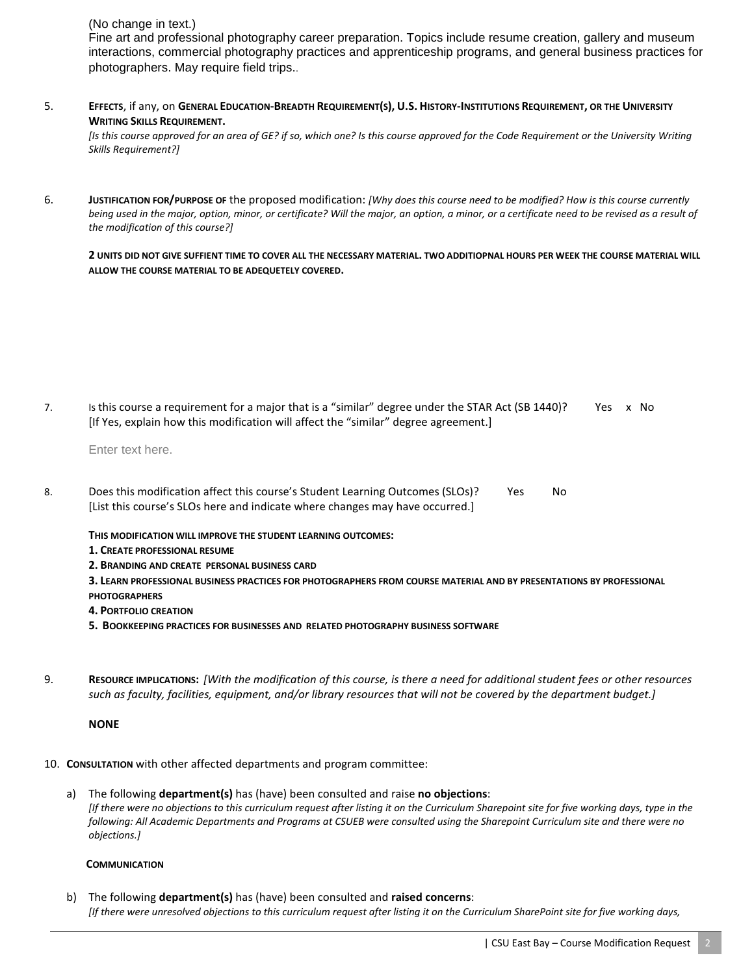# (No change in text.)

Fine art and professional photography career preparation. Topics include resume creation, gallery and museum interactions, commercial photography practices and apprenticeship programs, and general business practices for photographers. May require field trips..

5. **EFFECTS**, if any, on **GENERAL EDUCATION-BREADTH REQUIREMENT(S), U.S. HISTORY-INSTITUTIONS REQUIREMENT, OR THE UNIVERSITY WRITING SKILLS REQUIREMENT.** 

*[Is this course approved for an area of GE? if so, which one? Is this course approved for the Code Requirement or the University Writing Skills Requirement?]*

6. **JUSTIFICATION FOR/PURPOSE OF** the proposed modification: *[Why does this course need to be modified? How is this course currently being used in the major, option, minor, or certificate? Will the major, an option, a minor, or a certificate need to be revised as a result of the modification of this course?]*

**2 UNITS DID NOT GIVE SUFFIENT TIME TO COVER ALL THE NECESSARY MATERIAL. TWO ADDITIOPNAL HOURS PER WEEK THE COURSE MATERIAL WILL ALLOW THE COURSE MATERIAL TO BE ADEQUETELY COVERED.**

7. Is this course a requirement for a major that is a "similar" degree under the STAR Act (SB 1440)? Yes x No [If Yes, explain how this modification will affect the "similar" degree agreement.]

Enter text here.

8. Does this modification affect this course's Student Learning Outcomes (SLOs)? Yes No [List this course's SLOs here and indicate where changes may have occurred.]

**THIS MODIFICATION WILL IMPROVE THE STUDENT LEARNING OUTCOMES:**

- **1. CREATE PROFESSIONAL RESUME**
- **2. BRANDING AND CREATE PERSONAL BUSINESS CARD**
- **3. LEARN PROFESSIONAL BUSINESS PRACTICES FOR PHOTOGRAPHERS FROM COURSE MATERIAL AND BY PRESENTATIONS BY PROFESSIONAL PHOTOGRAPHERS**
- **4. PORTFOLIO CREATION**
- **5. BOOKKEEPING PRACTICES FOR BUSINESSES AND RELATED PHOTOGRAPHY BUSINESS SOFTWARE**
- 9. **RESOURCE IMPLICATIONS:** *[With the modification of this course, is there a need for additional student fees or other resources such as faculty, facilities, equipment, and/or library resources that will not be covered by the department budget.]*

#### **NONE**

- 10. **CONSULTATION** with other affected departments and program committee:
	- a) The following **department(s)** has (have) been consulted and raise **no objections**: *[If there were no objections to this curriculum request after listing it on the Curriculum Sharepoint site for five working days, type in the following: All Academic Departments and Programs at CSUEB were consulted using the Sharepoint Curriculum site and there were no objections.]*

#### **COMMUNICATION**

b) The following **department(s)** has (have) been consulted and **raised concerns**: *[If there were unresolved objections to this curriculum request after listing it on the Curriculum SharePoint site for five working days,*